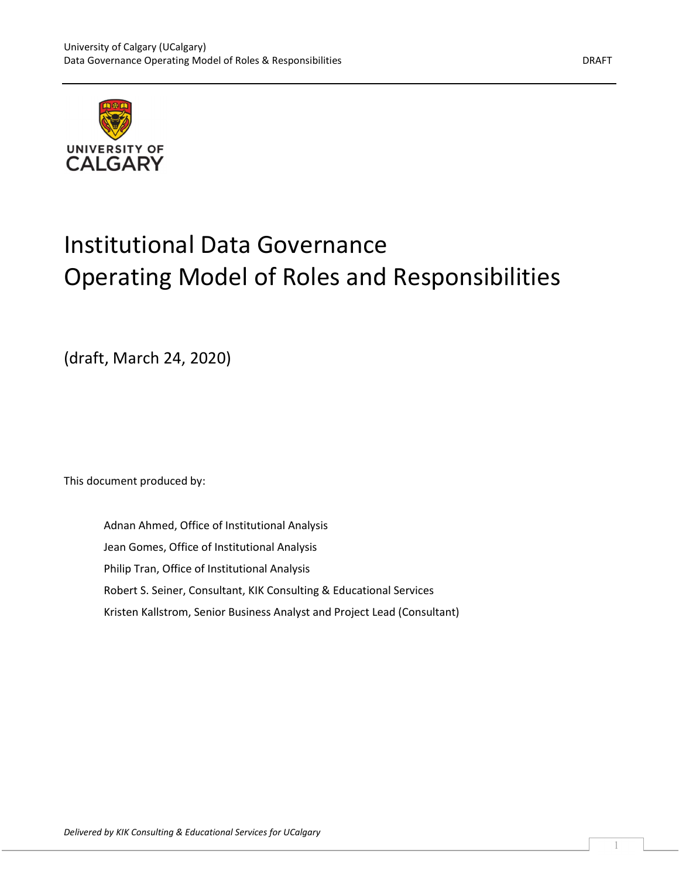



# Institutional Data Governance Operating Model of Roles and Responsibilities

(draft, March 24, 2020)

This document produced by:

Adnan Ahmed, Office of Institutional Analysis Jean Gomes, Office of Institutional Analysis Philip Tran, Office of Institutional Analysis Robert S. Seiner, Consultant, KIK Consulting & Educational Services Kristen Kallstrom, Senior Business Analyst and Project Lead (Consultant)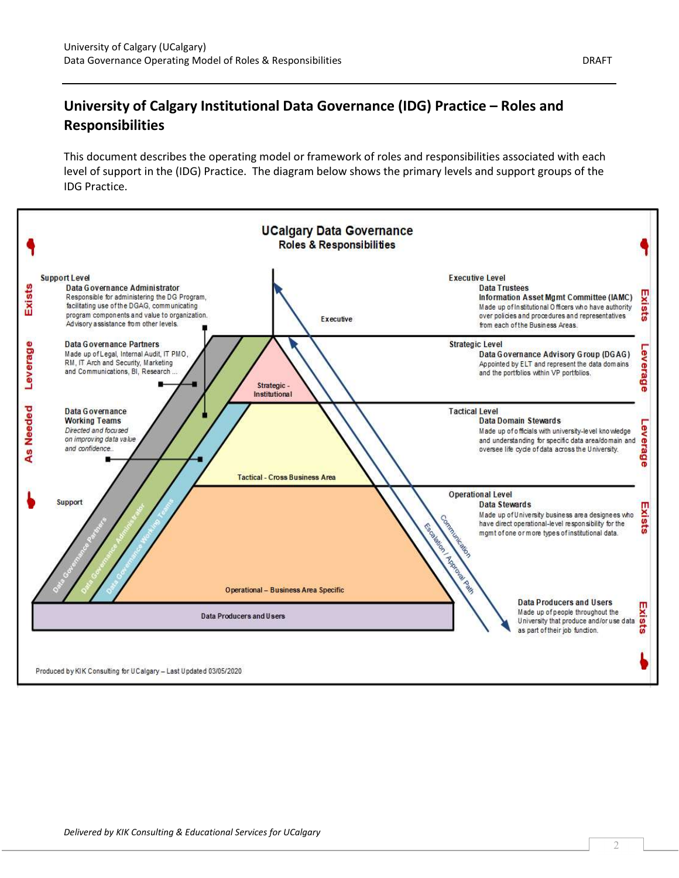### University of Calgary Institutional Data Governance (IDG) Practice – Roles and Responsibilities

This document describes the operating model or framework of roles and responsibilities associated with each level of support in the (IDG) Practice. The diagram below shows the primary levels and support groups of the IDG Practice.



2  $\qquad \qquad$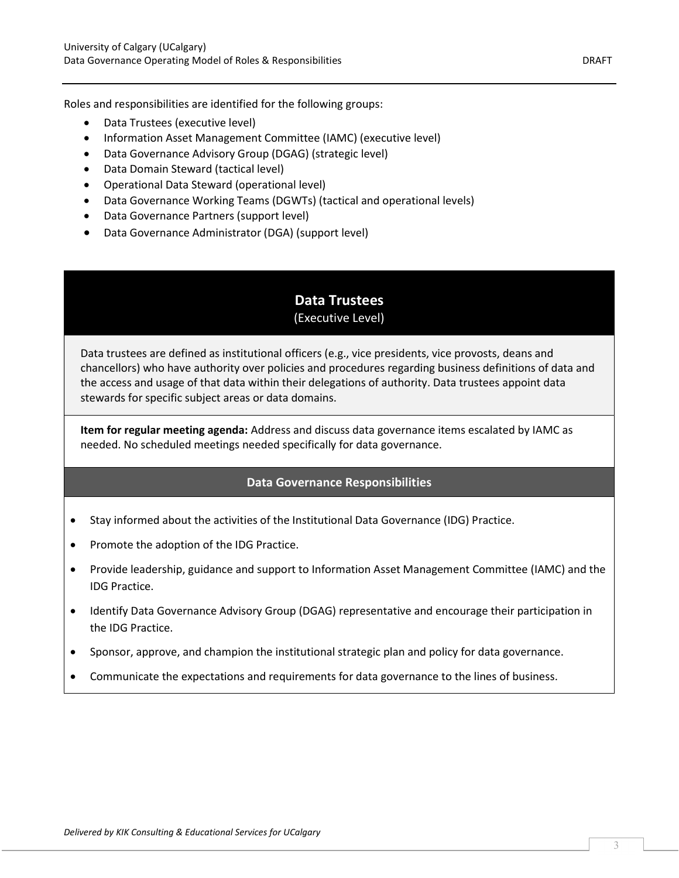Roles and responsibilities are identified for the following groups:

- Data Trustees (executive level)
- Information Asset Management Committee (IAMC) (executive level)
- Data Governance Advisory Group (DGAG) (strategic level)
- Data Domain Steward (tactical level)
- Operational Data Steward (operational level)
- Data Governance Working Teams (DGWTs) (tactical and operational levels)
- Data Governance Partners (support level)
- Data Governance Administrator (DGA) (support level)

### Data Trustees (Executive Level)

Data trustees are defined as institutional officers (e.g., vice presidents, vice provosts, deans and chancellors) who have authority over policies and procedures regarding business definitions of data and the access and usage of that data within their delegations of authority. Data trustees appoint data stewards for specific subject areas or data domains.

Item for regular meeting agenda: Address and discuss data governance items escalated by IAMC as needed. No scheduled meetings needed specifically for data governance.

- Stay informed about the activities of the Institutional Data Governance (IDG) Practice.
- Promote the adoption of the IDG Practice.
- Provide leadership, guidance and support to Information Asset Management Committee (IAMC) and the IDG Practice.
- Identify Data Governance Advisory Group (DGAG) representative and encourage their participation in the IDG Practice.
- Sponsor, approve, and champion the institutional strategic plan and policy for data governance.
- Communicate the expectations and requirements for data governance to the lines of business.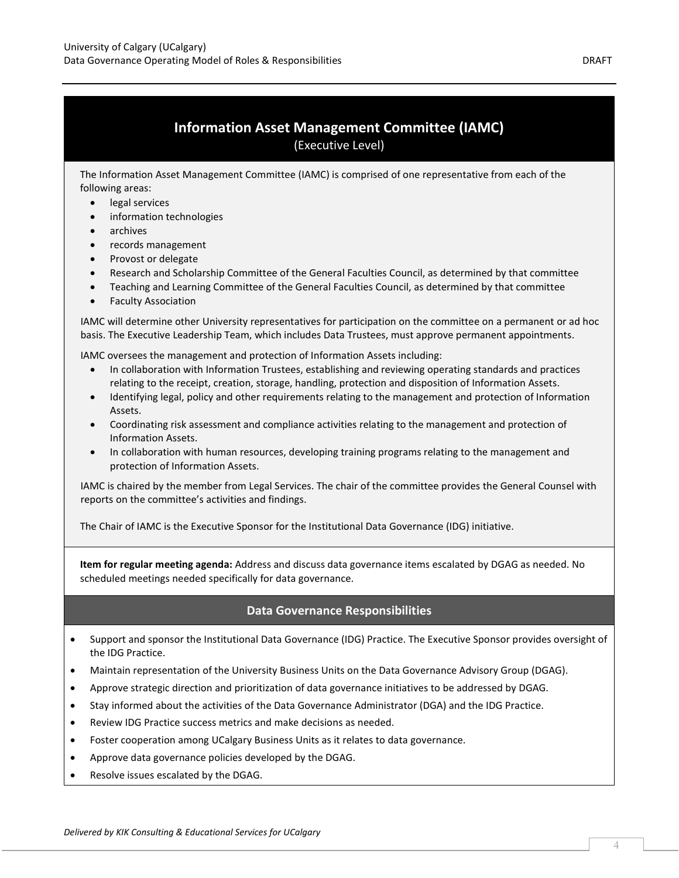### Information Asset Management Committee (IAMC) (Executive Level)

The Information Asset Management Committee (IAMC) is comprised of one representative from each of the following areas:

- legal services
- information technologies
- archives
- records management
- Provost or delegate
- Research and Scholarship Committee of the General Faculties Council, as determined by that committee
- Teaching and Learning Committee of the General Faculties Council, as determined by that committee
- Faculty Association

IAMC will determine other University representatives for participation on the committee on a permanent or ad hoc basis. The Executive Leadership Team, which includes Data Trustees, must approve permanent appointments.

IAMC oversees the management and protection of Information Assets including:

- In collaboration with Information Trustees, establishing and reviewing operating standards and practices relating to the receipt, creation, storage, handling, protection and disposition of Information Assets.
- Identifying legal, policy and other requirements relating to the management and protection of Information Assets.
- Coordinating risk assessment and compliance activities relating to the management and protection of Information Assets.
- In collaboration with human resources, developing training programs relating to the management and protection of Information Assets.

IAMC is chaired by the member from Legal Services. The chair of the committee provides the General Counsel with reports on the committee's activities and findings.

The Chair of IAMC is the Executive Sponsor for the Institutional Data Governance (IDG) initiative.

Item for regular meeting agenda: Address and discuss data governance items escalated by DGAG as needed. No scheduled meetings needed specifically for data governance.

- Support and sponsor the Institutional Data Governance (IDG) Practice. The Executive Sponsor provides oversight of the IDG Practice.
- Maintain representation of the University Business Units on the Data Governance Advisory Group (DGAG).
- Approve strategic direction and prioritization of data governance initiatives to be addressed by DGAG.
- Stay informed about the activities of the Data Governance Administrator (DGA) and the IDG Practice.
- Review IDG Practice success metrics and make decisions as needed.
- Foster cooperation among UCalgary Business Units as it relates to data governance.
- Approve data governance policies developed by the DGAG.
- Resolve issues escalated by the DGAG.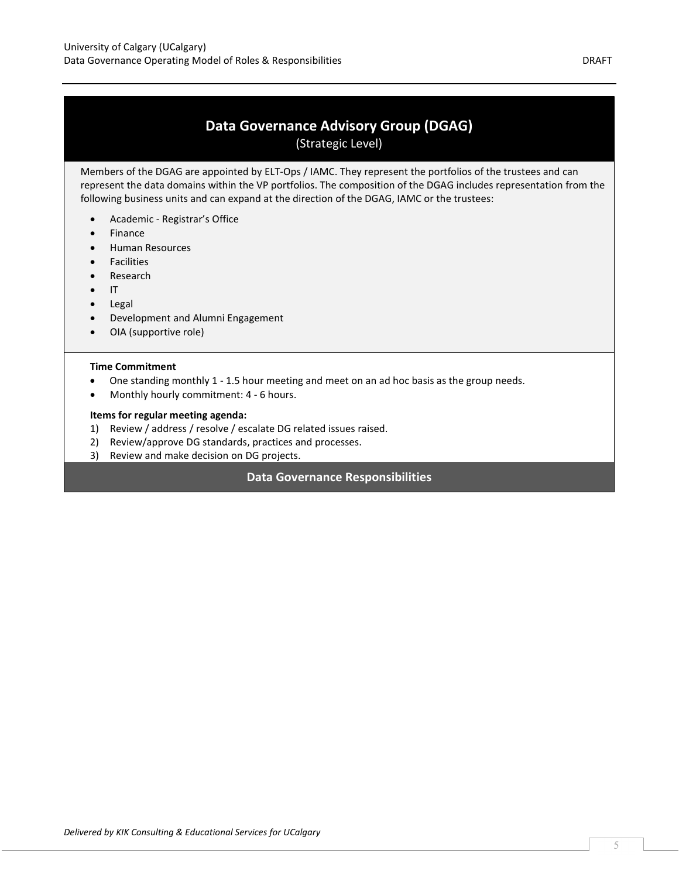## Data Governance Advisory Group (DGAG)

(Strategic Level)

Members of the DGAG are appointed by ELT-Ops / IAMC. They represent the portfolios of the trustees and can represent the data domains within the VP portfolios. The composition of the DGAG includes representation from the following business units and can expand at the direction of the DGAG, IAMC or the trustees:

- Academic Registrar's Office
- Finance
- **•** Human Resources
- **•** Facilities
- Research
- $\bullet$  IT
- Legal
- Development and Alumni Engagement
- OIA (supportive role)

#### Time Commitment

- One standing monthly 1 1.5 hour meeting and meet on an ad hoc basis as the group needs.
- Monthly hourly commitment: 4 6 hours.

#### Items for regular meeting agenda:

- 1) Review / address / resolve / escalate DG related issues raised.
- 2) Review/approve DG standards, practices and processes.
- 3) Review and make decision on DG projects.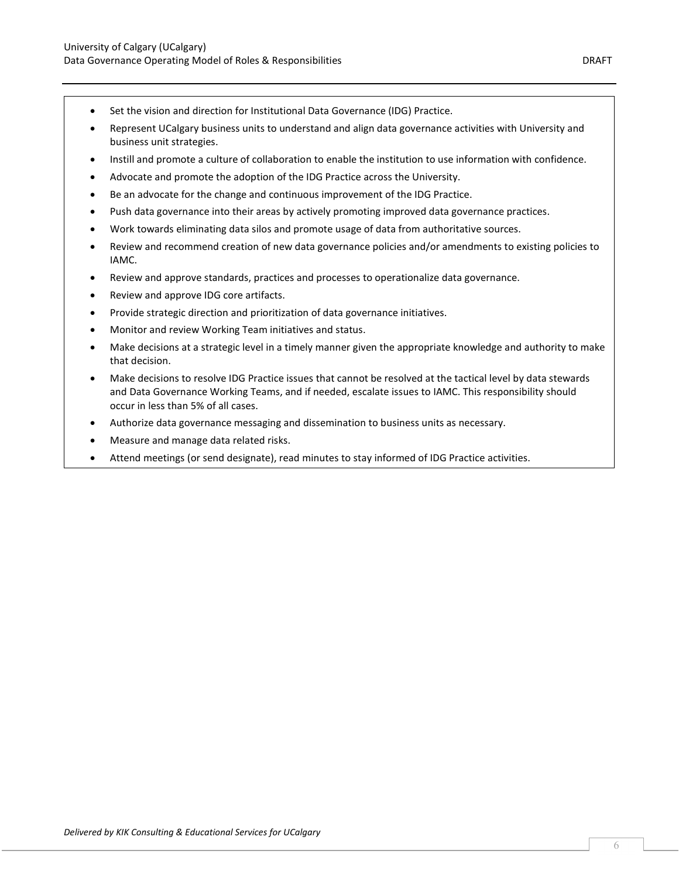- Set the vision and direction for Institutional Data Governance (IDG) Practice.
- Represent UCalgary business units to understand and align data governance activities with University and business unit strategies.
- Instill and promote a culture of collaboration to enable the institution to use information with confidence.
- Advocate and promote the adoption of the IDG Practice across the University.
- Be an advocate for the change and continuous improvement of the IDG Practice.
- Push data governance into their areas by actively promoting improved data governance practices.
- Work towards eliminating data silos and promote usage of data from authoritative sources.
- Review and recommend creation of new data governance policies and/or amendments to existing policies to IAMC.
- Review and approve standards, practices and processes to operationalize data governance.
- Review and approve IDG core artifacts.
- Provide strategic direction and prioritization of data governance initiatives.
- Monitor and review Working Team initiatives and status.
- Make decisions at a strategic level in a timely manner given the appropriate knowledge and authority to make that decision.
- Make decisions to resolve IDG Practice issues that cannot be resolved at the tactical level by data stewards and Data Governance Working Teams, and if needed, escalate issues to IAMC. This responsibility should occur in less than 5% of all cases.
- Authorize data governance messaging and dissemination to business units as necessary.
- Measure and manage data related risks.
- Attend meetings (or send designate), read minutes to stay informed of IDG Practice activities.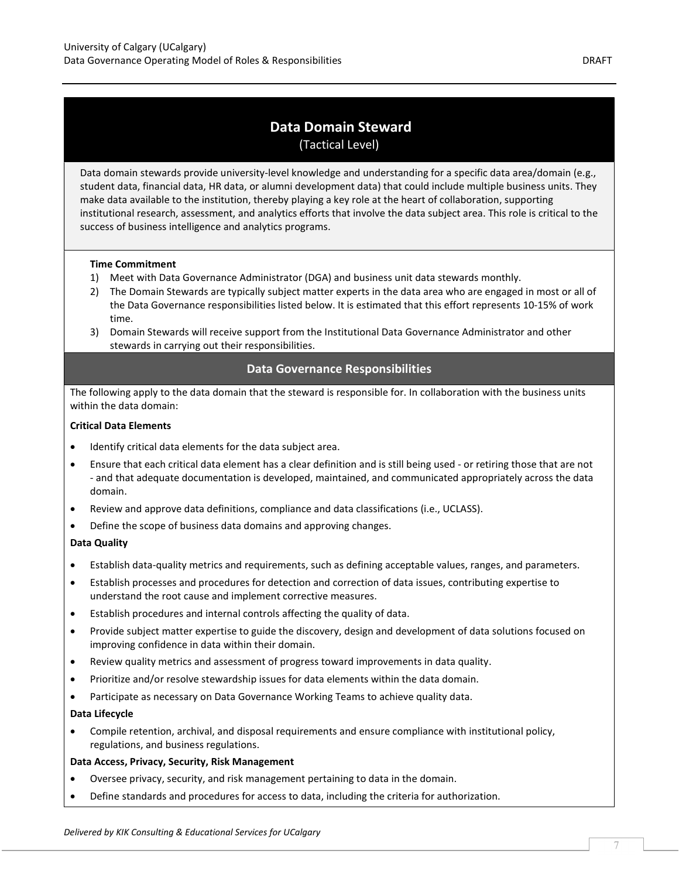### Data Domain Steward (Tactical Level)

Data domain stewards provide university-level knowledge and understanding for a specific data area/domain (e.g., student data, financial data, HR data, or alumni development data) that could include multiple business units. They make data available to the institution, thereby playing a key role at the heart of collaboration, supporting institutional research, assessment, and analytics efforts that involve the data subject area. This role is critical to the success of business intelligence and analytics programs.

### Time Commitment

- 1) Meet with Data Governance Administrator (DGA) and business unit data stewards monthly.
- 2) The Domain Stewards are typically subject matter experts in the data area who are engaged in most or all of the Data Governance responsibilities listed below. It is estimated that this effort represents 10-15% of work time.
- 3) Domain Stewards will receive support from the Institutional Data Governance Administrator and other stewards in carrying out their responsibilities.

### Data Governance Responsibilities

The following apply to the data domain that the steward is responsible for. In collaboration with the business units within the data domain:

### Critical Data Elements

- Identify critical data elements for the data subject area.
- Ensure that each critical data element has a clear definition and is still being used or retiring those that are not - and that adequate documentation is developed, maintained, and communicated appropriately across the data domain.
- Review and approve data definitions, compliance and data classifications (i.e., UCLASS).
- Define the scope of business data domains and approving changes.

### Data Quality

- Establish data-quality metrics and requirements, such as defining acceptable values, ranges, and parameters.
- Establish processes and procedures for detection and correction of data issues, contributing expertise to understand the root cause and implement corrective measures.
- Establish procedures and internal controls affecting the quality of data.
- Provide subject matter expertise to guide the discovery, design and development of data solutions focused on improving confidence in data within their domain.
- Review quality metrics and assessment of progress toward improvements in data quality.
- Prioritize and/or resolve stewardship issues for data elements within the data domain.
- Participate as necessary on Data Governance Working Teams to achieve quality data.

#### Data Lifecycle

 Compile retention, archival, and disposal requirements and ensure compliance with institutional policy, regulations, and business regulations.

#### Data Access, Privacy, Security, Risk Management

- Oversee privacy, security, and risk management pertaining to data in the domain.
- Define standards and procedures for access to data, including the criteria for authorization.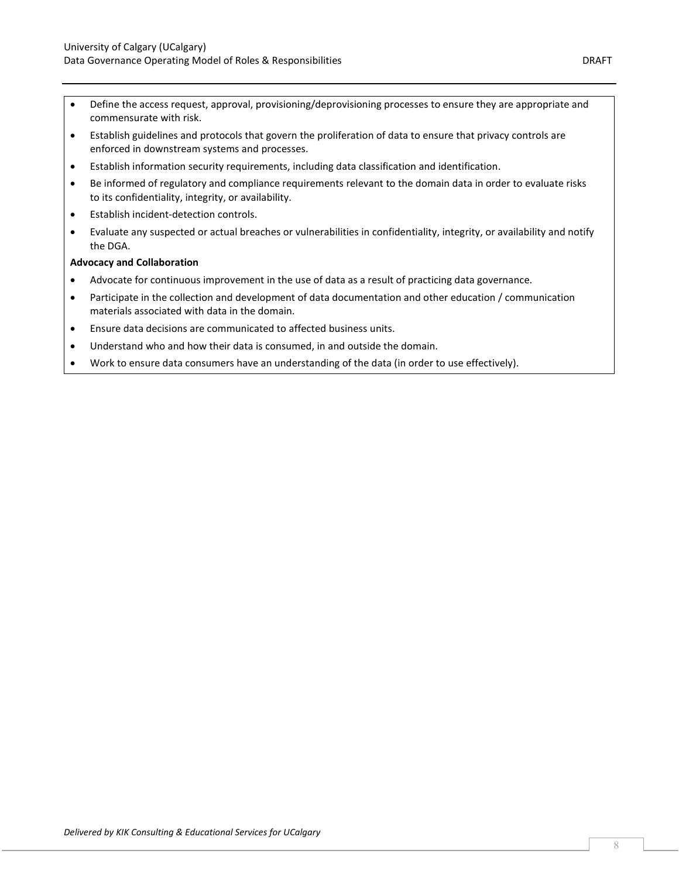- Define the access request, approval, provisioning/deprovisioning processes to ensure they are appropriate and commensurate with risk.
- Establish guidelines and protocols that govern the proliferation of data to ensure that privacy controls are enforced in downstream systems and processes.
- Establish information security requirements, including data classification and identification.
- Be informed of regulatory and compliance requirements relevant to the domain data in order to evaluate risks to its confidentiality, integrity, or availability.
- Establish incident-detection controls.
- Evaluate any suspected or actual breaches or vulnerabilities in confidentiality, integrity, or availability and notify the DGA.

### Advocacy and Collaboration

- Advocate for continuous improvement in the use of data as a result of practicing data governance.
- Participate in the collection and development of data documentation and other education / communication materials associated with data in the domain.
- Ensure data decisions are communicated to affected business units.
- Understand who and how their data is consumed, in and outside the domain.
- Work to ensure data consumers have an understanding of the data (in order to use effectively).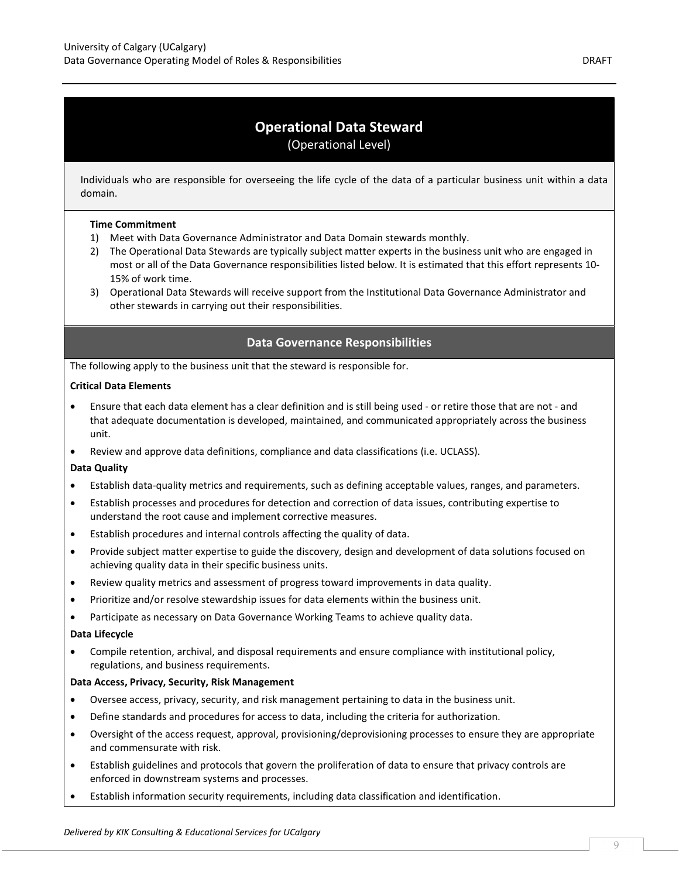### Operational Data Steward (Operational Level)

Individuals who are responsible for overseeing the life cycle of the data of a particular business unit within a data domain.

#### Time Commitment

- 1) Meet with Data Governance Administrator and Data Domain stewards monthly.
- 2) The Operational Data Stewards are typically subject matter experts in the business unit who are engaged in most or all of the Data Governance responsibilities listed below. It is estimated that this effort represents 10- 15% of work time.
- 3) Operational Data Stewards will receive support from the Institutional Data Governance Administrator and other stewards in carrying out their responsibilities.

### Data Governance Responsibilities

The following apply to the business unit that the steward is responsible for.

### Critical Data Elements

- Ensure that each data element has a clear definition and is still being used or retire those that are not and that adequate documentation is developed, maintained, and communicated appropriately across the business unit.
- Review and approve data definitions, compliance and data classifications (i.e. UCLASS).

### Data Quality

- Establish data-quality metrics and requirements, such as defining acceptable values, ranges, and parameters.
- Establish processes and procedures for detection and correction of data issues, contributing expertise to understand the root cause and implement corrective measures.
- Establish procedures and internal controls affecting the quality of data.
- Provide subject matter expertise to guide the discovery, design and development of data solutions focused on achieving quality data in their specific business units.
- Review quality metrics and assessment of progress toward improvements in data quality.
- Prioritize and/or resolve stewardship issues for data elements within the business unit.
- Participate as necessary on Data Governance Working Teams to achieve quality data.

#### Data Lifecycle

 Compile retention, archival, and disposal requirements and ensure compliance with institutional policy, regulations, and business requirements.

### Data Access, Privacy, Security, Risk Management

- Oversee access, privacy, security, and risk management pertaining to data in the business unit.
- Define standards and procedures for access to data, including the criteria for authorization.
- Oversight of the access request, approval, provisioning/deprovisioning processes to ensure they are appropriate and commensurate with risk.
- Establish guidelines and protocols that govern the proliferation of data to ensure that privacy controls are enforced in downstream systems and processes.
- Establish information security requirements, including data classification and identification.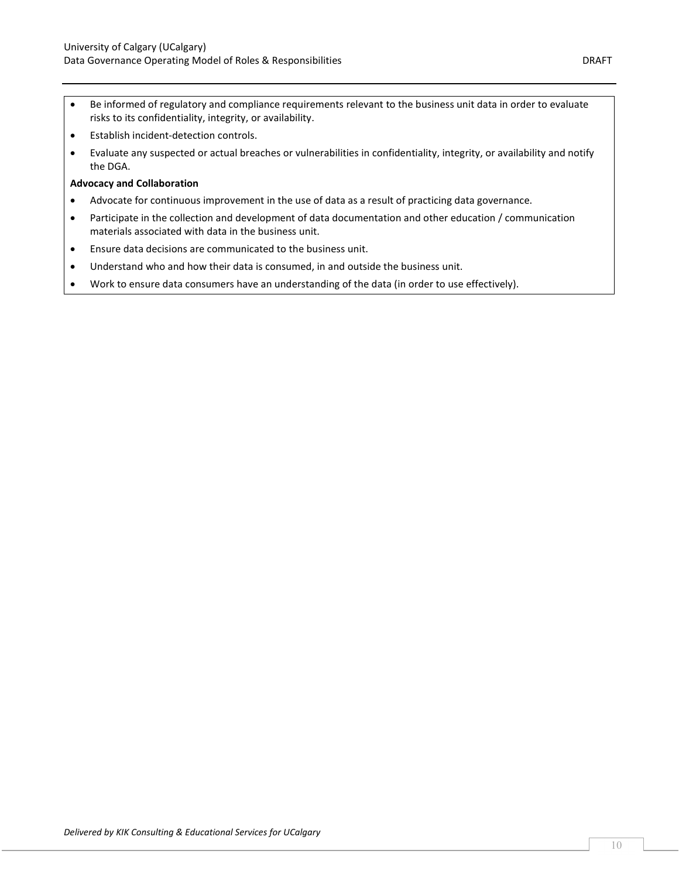- Be informed of regulatory and compliance requirements relevant to the business unit data in order to evaluate risks to its confidentiality, integrity, or availability.
- Establish incident-detection controls.
- Evaluate any suspected or actual breaches or vulnerabilities in confidentiality, integrity, or availability and notify the DGA.

### Advocacy and Collaboration

- Advocate for continuous improvement in the use of data as a result of practicing data governance.
- Participate in the collection and development of data documentation and other education / communication materials associated with data in the business unit.
- Ensure data decisions are communicated to the business unit.
- Understand who and how their data is consumed, in and outside the business unit.
- Work to ensure data consumers have an understanding of the data (in order to use effectively).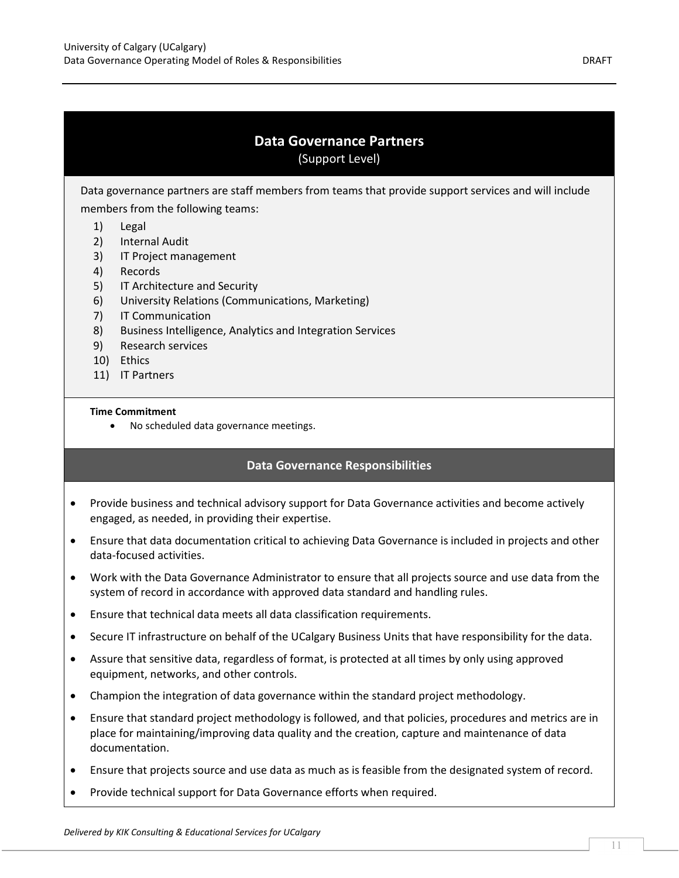### Data Governance Partners (Support Level)

Data governance partners are staff members from teams that provide support services and will include members from the following teams:

- 1) Legal
- 2) Internal Audit
- 3) IT Project management
- 4) Records
- 5) IT Architecture and Security
- 6) University Relations (Communications, Marketing)
- 7) IT Communication
- 8) Business Intelligence, Analytics and Integration Services
- 9) Research services
- 10) Ethics
- 11) IT Partners

### Time Commitment

No scheduled data governance meetings.

- Provide business and technical advisory support for Data Governance activities and become actively engaged, as needed, in providing their expertise.
- Ensure that data documentation critical to achieving Data Governance is included in projects and other data-focused activities.
- Work with the Data Governance Administrator to ensure that all projects source and use data from the system of record in accordance with approved data standard and handling rules.
- Ensure that technical data meets all data classification requirements.
- Secure IT infrastructure on behalf of the UCalgary Business Units that have responsibility for the data.
- Assure that sensitive data, regardless of format, is protected at all times by only using approved equipment, networks, and other controls.
- Champion the integration of data governance within the standard project methodology.
- Ensure that standard project methodology is followed, and that policies, procedures and metrics are in place for maintaining/improving data quality and the creation, capture and maintenance of data documentation.
- Ensure that projects source and use data as much as is feasible from the designated system of record.
- Provide technical support for Data Governance efforts when required.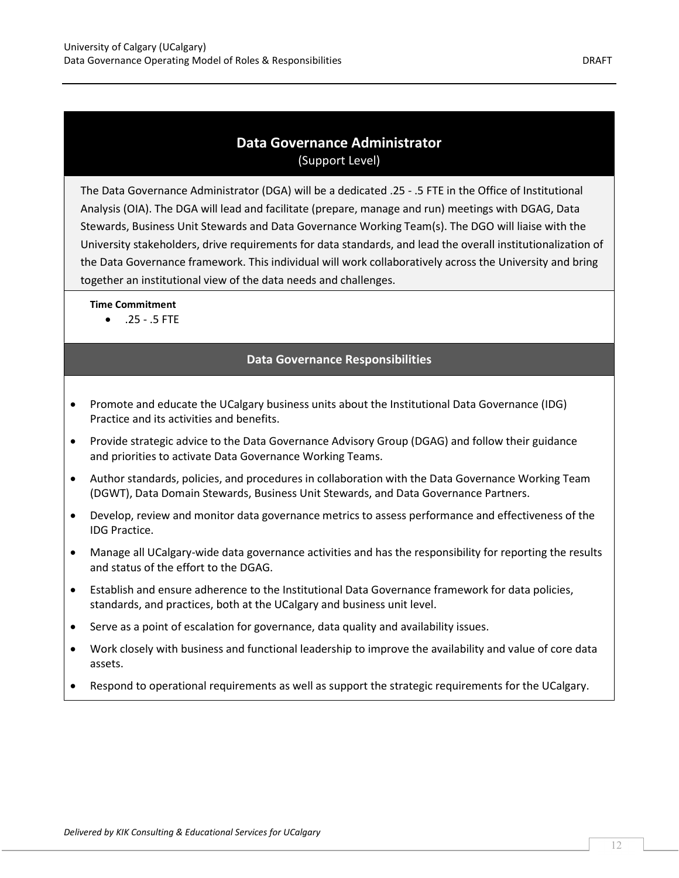### Data Governance Administrator (Support Level)

The Data Governance Administrator (DGA) will be a dedicated .25 - .5 FTE in the Office of Institutional Analysis (OIA). The DGA will lead and facilitate (prepare, manage and run) meetings with DGAG, Data Stewards, Business Unit Stewards and Data Governance Working Team(s). The DGO will liaise with the University stakeholders, drive requirements for data standards, and lead the overall institutionalization of the Data Governance framework. This individual will work collaboratively across the University and bring together an institutional view of the data needs and challenges.

Time Commitment

 $.25 - .5$  FTE

- Promote and educate the UCalgary business units about the Institutional Data Governance (IDG) Practice and its activities and benefits.
- Provide strategic advice to the Data Governance Advisory Group (DGAG) and follow their guidance and priorities to activate Data Governance Working Teams.
- Author standards, policies, and procedures in collaboration with the Data Governance Working Team (DGWT), Data Domain Stewards, Business Unit Stewards, and Data Governance Partners.
- Develop, review and monitor data governance metrics to assess performance and effectiveness of the IDG Practice.
- Manage all UCalgary-wide data governance activities and has the responsibility for reporting the results and status of the effort to the DGAG.
- Establish and ensure adherence to the Institutional Data Governance framework for data policies, standards, and practices, both at the UCalgary and business unit level.
- Serve as a point of escalation for governance, data quality and availability issues.
- Work closely with business and functional leadership to improve the availability and value of core data assets.
- Respond to operational requirements as well as support the strategic requirements for the UCalgary.